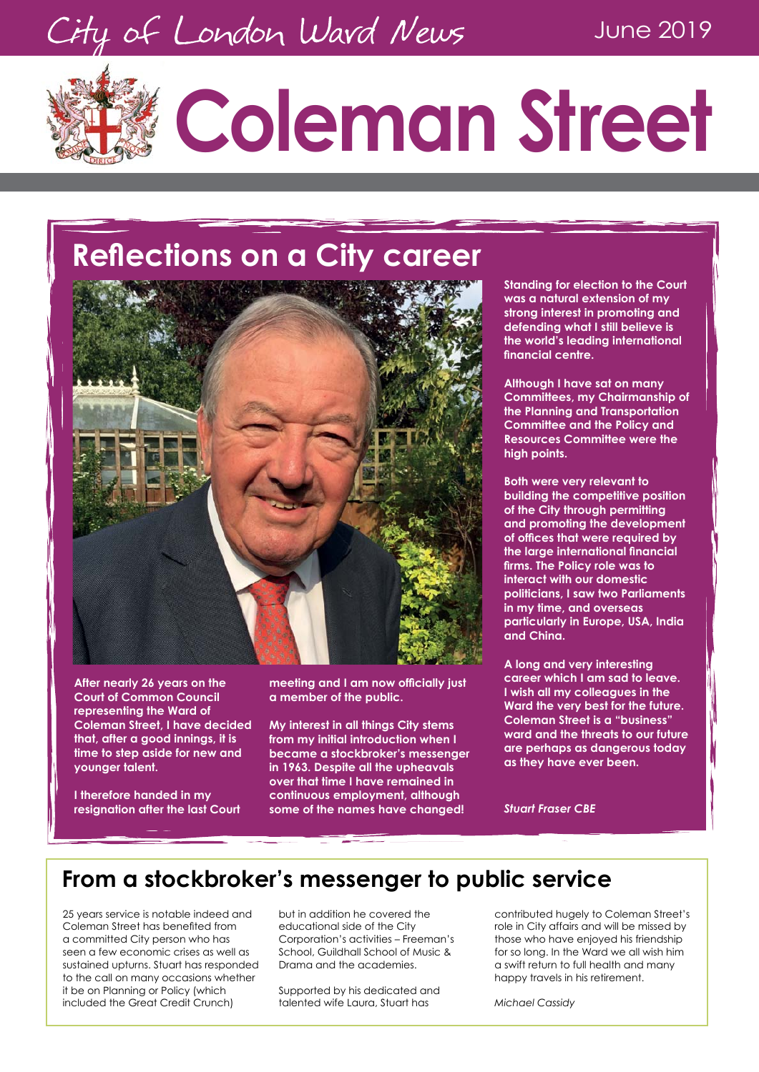## City of London Ward News

### June 2019

# **Coleman Street**

## **Reflections on a City career**



**After nearly 26 years on the Court of Common Council representing the Ward of Coleman Street, I have decided that, after a good innings, it is time to step aside for new and younger talent.**

**I therefore handed in my resignation after the last Court**  **meeting and I am now officially just a member of the public.** 

**My interest in all things City stems from my initial introduction when I became a stockbroker's messenger in 1963. Despite all the upheavals over that time I have remained in continuous employment, although some of the names have changed!**

**Standing for election to the Court was a natural extension of my strong interest in promoting and defending what I still believe is the world's leading international financial centre.**

**Although I have sat on many Committees, my Chairmanship of the Planning and Transportation Committee and the Policy and Resources Committee were the high points.**

**Both were very relevant to building the competitive position of the City through permitting and promoting the development of offices that were required by the large international financial firms. The Policy role was to interact with our domestic politicians, I saw two Parliaments in my time, and overseas particularly in Europe, USA, India and China.**

**A long and very interesting career which I am sad to leave. I wish all my colleagues in the Ward the very best for the future. Coleman Street is a "business" ward and the threats to our future are perhaps as dangerous today as they have ever been.**

*Stuart Fraser CBE*

### **From a stockbroker's messenger to public service**

25 years service is notable indeed and Coleman Street has benefited from a committed City person who has seen a few economic crises as well as sustained upturns. Stuart has responded to the call on many occasions whether it be on Planning or Policy (which included the Great Credit Crunch)

but in addition he covered the educational side of the City Corporation's activities – Freeman's School, Guildhall School of Music & Drama and the academies.

Supported by his dedicated and talented wife Laura, Stuart has

contributed hugely to Coleman Street's role in City affairs and will be missed by those who have enjoyed his friendship for so long. In the Ward we all wish him a swift return to full health and many happy travels in his retirement.

*Michael Cassidy*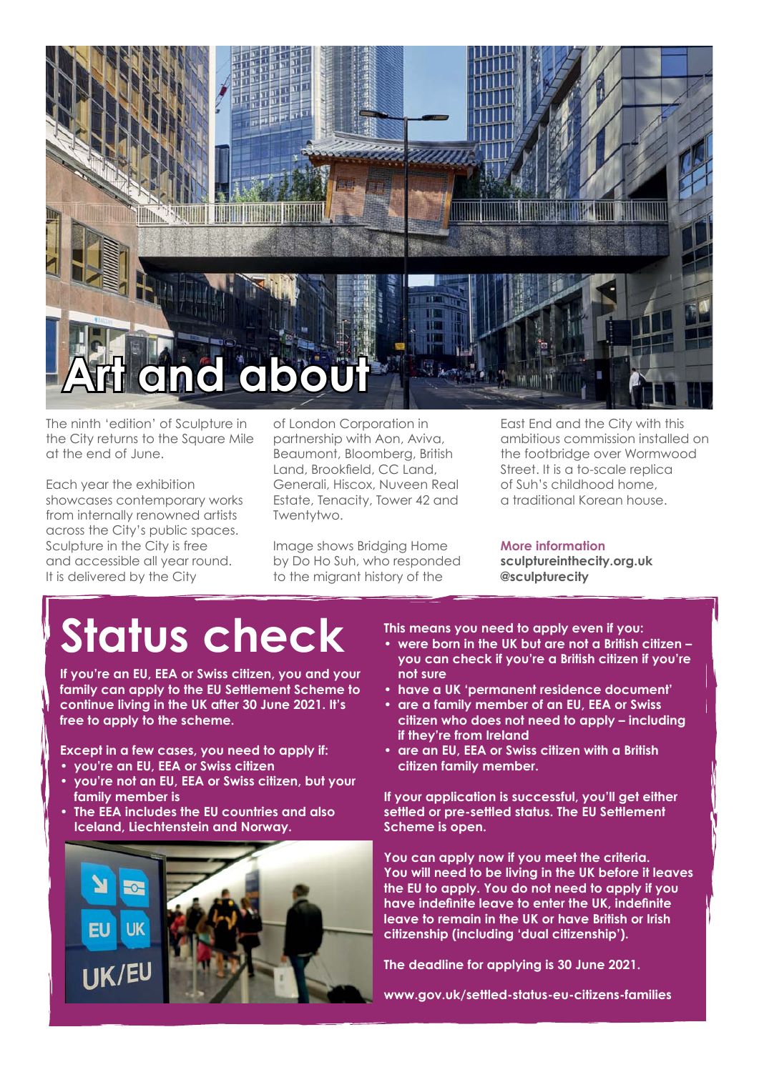

The ninth 'edition' of Sculpture in the City returns to the Square Mile at the end of June.

Each year the exhibition showcases contemporary works from internally renowned artists across the City's public spaces. Sculpture in the City is free and accessible all year round. It is delivered by the City

of London Corporation in partnership with Aon, Aviva, Beaumont, Bloomberg, British Land, Brookfield, CC Land, Generali, Hiscox, Nuveen Real Estate, Tenacity, Tower 42 and Twentytwo.

Image shows Bridging Home by Do Ho Suh, who responded to the migrant history of the

East End and the City with this ambitious commission installed on the footbridge over Wormwood Street. It is a to-scale replica of Suh's childhood home, a traditional Korean house.

**More information**

**sculptureinthecity.org.uk @sculpturecity**

# **Status check**

**If you're an EU, EEA or Swiss citizen, you and your family can apply to the EU Settlement Scheme to continue living in the UK after 30 June 2021. It's free to apply to the scheme.**

**Except in a few cases, you need to apply if:**

- **• you're an EU, EEA or Swiss citizen**
- **• you're not an EU, EEA or Swiss citizen, but your family member is**
- **• The EEA includes the EU countries and also Iceland, Liechtenstein and Norway.**



**This means you need to apply even if you:**

- **• were born in the UK but are not a British citizen – you can check if you're a British citizen if you're not sure**
- **• have a UK 'permanent residence document'**
- **• are a family member of an EU, EEA or Swiss citizen who does not need to apply – including if they're from Ireland**
- **• are an EU, EEA or Swiss citizen with a British citizen family member.**

**If your application is successful, you'll get either settled or pre-settled status. The EU Settlement Scheme is open.** 

**You can apply now if you meet the criteria. You will need to be living in the UK before it leaves the EU to apply. You do not need to apply if you have indefinite leave to enter the UK, indefinite leave to remain in the UK or have British or Irish citizenship (including 'dual citizenship').**

**The deadline for applying is 30 June 2021.**

**www.gov.uk/settled-status-eu-citizens-families**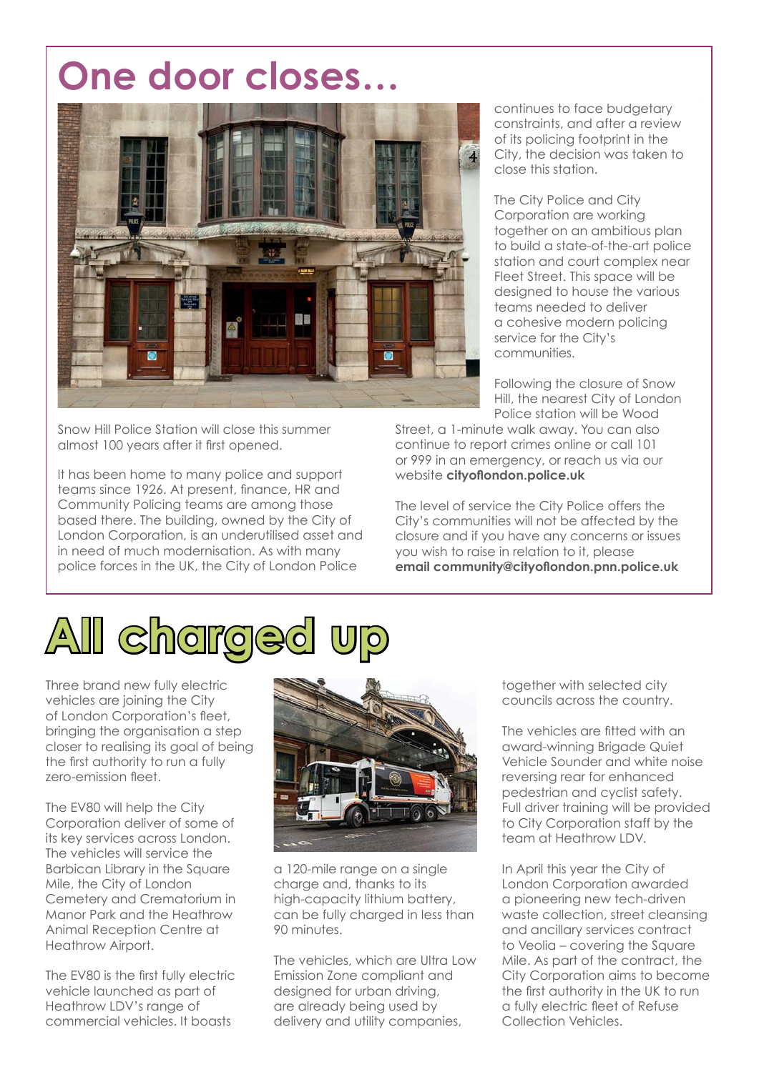# **One door closes…**



Snow Hill Police Station will close this summer almost 100 years after it first opened.

It has been home to many police and support teams since 1926. At present, finance, HR and Community Policing teams are among those based there. The building, owned by the City of London Corporation, is an underutilised asset and in need of much modernisation. As with many police forces in the UK, the City of London Police

continues to face budgetary constraints, and after a review of its policing footprint in the City, the decision was taken to close this station.

The City Police and City Corporation are working together on an ambitious plan to build a state-of-the-art police station and court complex near Fleet Street. This space will be designed to house the various teams needed to deliver a cohesive modern policing service for the City's communities.

Following the closure of Snow Hill, the nearest City of London Police station will be Wood

Street, a 1-minute walk away. You can also continue to report crimes online or call 101 or 999 in an emergency, or reach us via our website **cityoflondon.police.uk**

The level of service the City Police offers the City's communities will not be affected by the closure and if you have any concerns or issues you wish to raise in relation to it, please **email community@cityoflondon.pnn.police.uk**



Three brand new fully electric vehicles are joining the City of London Corporation's fleet, bringing the organisation a step closer to realising its goal of being the first authority to run a fully zero-emission fleet.

The EV80 will help the City Corporation deliver of some of its key services across London. The vehicles will service the Barbican Library in the Square Mile, the City of London Cemetery and Crematorium in Manor Park and the Heathrow Animal Reception Centre at Heathrow Airport.

The EV80 is the first fully electric vehicle launched as part of Heathrow LDV's range of commercial vehicles. It boasts



a 120-mile range on a single charge and, thanks to its high-capacity lithium battery, can be fully charged in less than 90 minutes.

The vehicles, which are Ultra Low Emission Zone compliant and designed for urban driving, are already being used by delivery and utility companies,

together with selected city councils across the country.

The vehicles are fitted with an award-winning Brigade Quiet Vehicle Sounder and white noise reversing rear for enhanced pedestrian and cyclist safety. Full driver training will be provided to City Corporation staff by the team at Heathrow LDV.

In April this year the City of London Corporation awarded a pioneering new tech-driven waste collection, street cleansing and ancillary services contract to Veolia – covering the Square Mile. As part of the contract, the City Corporation aims to become the first authority in the UK to run a fully electric fleet of Refuse Collection Vehicles.